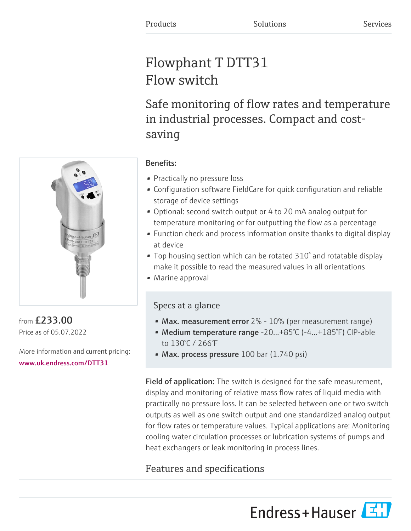# Flowphant T DTT31 Flow switch

Safe monitoring of flow rates and temperature in industrial processes. Compact and costsaving



from £233.00 Price as of 05.07.2022

More information and current pricing: [www.uk.endress.com/DTT31](https://www.uk.endress.com/DTT31)

## Benefits:

- Practically no pressure loss
- Configuration software FieldCare for quick configuration and reliable storage of device settings
- Optional: second switch output or 4 to 20 mA analog output for temperature monitoring or for outputting the flow as a percentage
- Function check and process information onsite thanks to digital display at device
- Top housing section which can be rotated 310° and rotatable display make it possible to read the measured values in all orientations
- Marine approval

# Specs at a glance

- Max. measurement error  $2\%$   $10\%$  (per measurement range)
- Medium temperature range -20...+85°C (-4...+185°F) CIP-able to 130°C / 266°F
- Max. process pressure  $100$  bar (1.740 psi)

Field of application: The switch is designed for the safe measurement, display and monitoring of relative mass flow rates of liquid media with practically no pressure loss. It can be selected between one or two switch outputs as well as one switch output and one standardized analog output for flow rates or temperature values. Typical applications are: Monitoring cooling water circulation processes or lubrication systems of pumps and heat exchangers or leak monitoring in process lines.

# Features and specifications